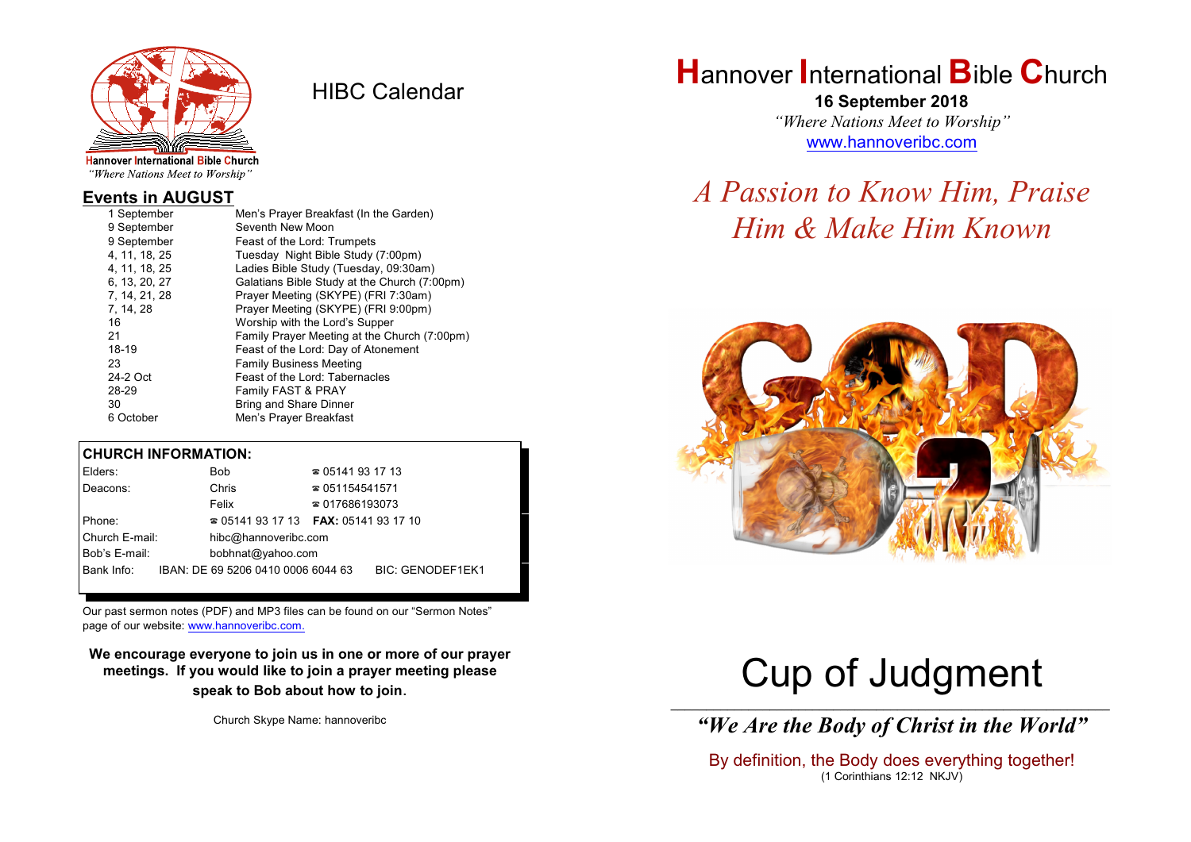

HIBC Calendar

"Where Nations Meet to Worship"

### **Events in AUGUST**

| 1 September   | Men's Prayer Breakfast (In the Garden)       |
|---------------|----------------------------------------------|
| 9 September   | Seventh New Moon                             |
| 9 September   | Feast of the Lord: Trumpets                  |
| 4, 11, 18, 25 | Tuesday Night Bible Study (7:00pm)           |
| 4, 11, 18, 25 | Ladies Bible Study (Tuesday, 09:30am)        |
| 6, 13, 20, 27 | Galatians Bible Study at the Church (7:00pm) |
| 7, 14, 21, 28 | Prayer Meeting (SKYPE) (FRI 7:30am)          |
| 7, 14, 28     | Prayer Meeting (SKYPE) (FRI 9:00pm)          |
| 16            | Worship with the Lord's Supper               |
| 21            | Family Prayer Meeting at the Church (7:00pm) |
| 18-19         | Feast of the Lord: Day of Atonement          |
| 23            | <b>Family Business Meeting</b>               |
| 24-2 Oct      | Feast of the Lord: Tabernacles               |
| 28-29         | Family FAST & PRAY                           |
| 30            | <b>Bring and Share Dinner</b>                |
| 6 October     | Men's Prayer Breakfast                       |

#### **CHURCH INFORMATION:**

| Elders:        | Bob                                      | $\approx 05141931713$  |                         |
|----------------|------------------------------------------|------------------------|-------------------------|
| Deacons:       | Chris                                    | $\approx 051154541571$ |                         |
|                | Felix                                    | $\approx 017686193073$ |                         |
| Phone:         | $\approx 05141931713$ FAX: 0514193 17 10 |                        |                         |
| Church E-mail: | hibc@hannoveribc.com                     |                        |                         |
| Bob's E-mail:  | bobhnat@yahoo.com                        |                        |                         |
| Bank Info:     | IBAN: DE 69 5206 0410 0006 6044 63       |                        | <b>BIC: GENODEF1EK1</b> |
|                |                                          |                        |                         |

Our past sermon notes (PDF) and MP3 files can be found on our "Sermon Notes" page of our website: [www.hannoveribc.com.](http://www.hannoveribc.com.)

**We encourage everyone to join us in one or more of our prayer meetings. If you would like to join a prayer meeting please speak to Bob about how to join**.

Church Skype Name: hannoveribc

## **H**annover **I**nternational **B**ible **C**hurch

**16 September 2018** *"Where Nations Meet to Worship"* [www.hannoveribc.com](http://www.hannoveribc.com)

## *A Passion to Know Him, Praise Him & Make Him Known*



# Cup of Judgment

\_\_\_\_\_\_\_\_\_\_\_\_\_\_\_\_\_\_\_\_\_\_\_\_\_\_\_\_\_\_\_\_\_\_\_\_\_\_\_\_\_\_\_\_\_\_\_\_\_\_\_\_\_\_\_\_\_\_\_\_\_\_ *"We Are the Body of Christ in the World"*

By definition, the Body does everything together! (1 Corinthians 12:12 NKJV)